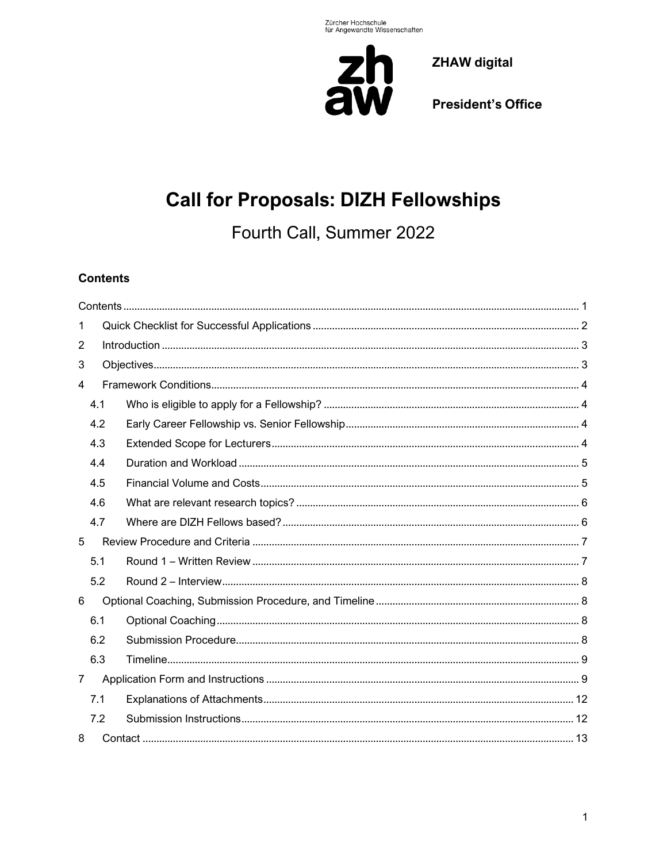

**President's Office** 

# **Call for Proposals: DIZH Fellowships**

Fourth Call, Summer 2022

# <span id="page-0-0"></span>**Contents**

| 1              |     |  |  |  |  |  |  |  |
|----------------|-----|--|--|--|--|--|--|--|
| 2              |     |  |  |  |  |  |  |  |
| 3              |     |  |  |  |  |  |  |  |
| 4              |     |  |  |  |  |  |  |  |
|                | 4.1 |  |  |  |  |  |  |  |
|                | 4.2 |  |  |  |  |  |  |  |
|                | 4.3 |  |  |  |  |  |  |  |
|                | 4.4 |  |  |  |  |  |  |  |
|                | 4.5 |  |  |  |  |  |  |  |
|                | 4.6 |  |  |  |  |  |  |  |
|                | 4.7 |  |  |  |  |  |  |  |
| 5              |     |  |  |  |  |  |  |  |
|                | 5.1 |  |  |  |  |  |  |  |
|                | 5.2 |  |  |  |  |  |  |  |
| 6              |     |  |  |  |  |  |  |  |
|                | 6.1 |  |  |  |  |  |  |  |
|                | 6.2 |  |  |  |  |  |  |  |
|                | 6.3 |  |  |  |  |  |  |  |
| $\overline{7}$ |     |  |  |  |  |  |  |  |
|                | 7.1 |  |  |  |  |  |  |  |
|                | 7.2 |  |  |  |  |  |  |  |
| 8              |     |  |  |  |  |  |  |  |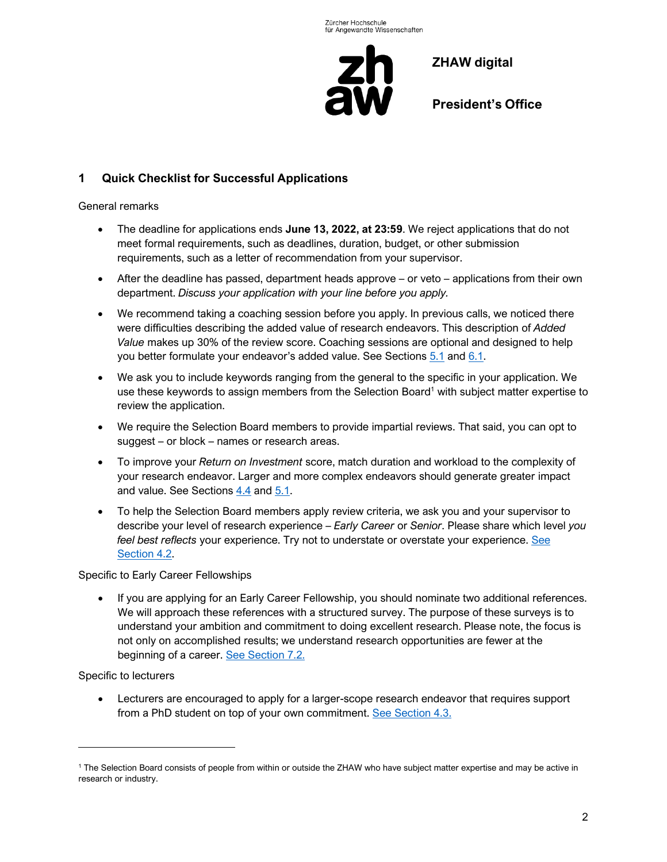

**President's Office**

# <span id="page-1-0"></span>**1 Quick Checklist for Successful Applications**

#### General remarks

- The deadline for applications ends **June 13, 2022, at 23:59**. We reject applications that do not meet formal requirements, such as deadlines, duration, budget, or other submission requirements, such as a letter of recommendation from your supervisor.
- After the deadline has passed, department heads approve or veto applications from their own department. *Discuss your application with your line before you apply.*
- We recommend taking a coaching session before you apply. In previous calls, we noticed there were difficulties describing the added value of research endeavors. This description of *Added Value* makes up 30% of the review score. Coaching sessions are optional and designed to help you better formulate your endeavor's added value. See Sections [5.1](#page-6-1) and [6.1.](#page-7-2)
- We ask you to include keywords ranging from the general to the specific in your application. We use these keywords to assign members from the Selection Board<sup>1</sup> with subject matter expertise to review the application.
- We require the Selection Board members to provide impartial reviews. That said, you can opt to suggest – or block – names or research areas.
- To improve your *Return on Investment* score, match duration and workload to the complexity of your research endeavor. Larger and more complex endeavors should generate greater impact and value. See Sections [4.4](#page-4-0) and [5.1.](#page-6-1)
- To help the Selection Board members apply review criteria, we ask you and your supervisor to describe your level of research experience – *Early Career* or *Senior*. Please share which level *you feel best reflects* your experience. Try not to understate or overstate your experience. [See](#page-3-2)  [Section](#page-3-2) 4.2.

Specific to Early Career Fellowships

• If you are applying for an Early Career Fellowship, you should nominate two additional references. We will approach these references with a structured survey. The purpose of these surveys is to understand your ambition and commitment to doing excellent research. Please note, the focus is not only on accomplished results; we understand research opportunities are fewer at the beginning of a career. See [Section](#page-11-1) 7.2.

Specific to lecturers

• Lecturers are encouraged to apply for a larger-scope research endeavor that requires support from a PhD student on top of your own commitment. [See Section](#page-3-3) 4.3.

<sup>1</sup> The Selection Board consists of people from within or outside the ZHAW who have subject matter expertise and may be active in research or industry.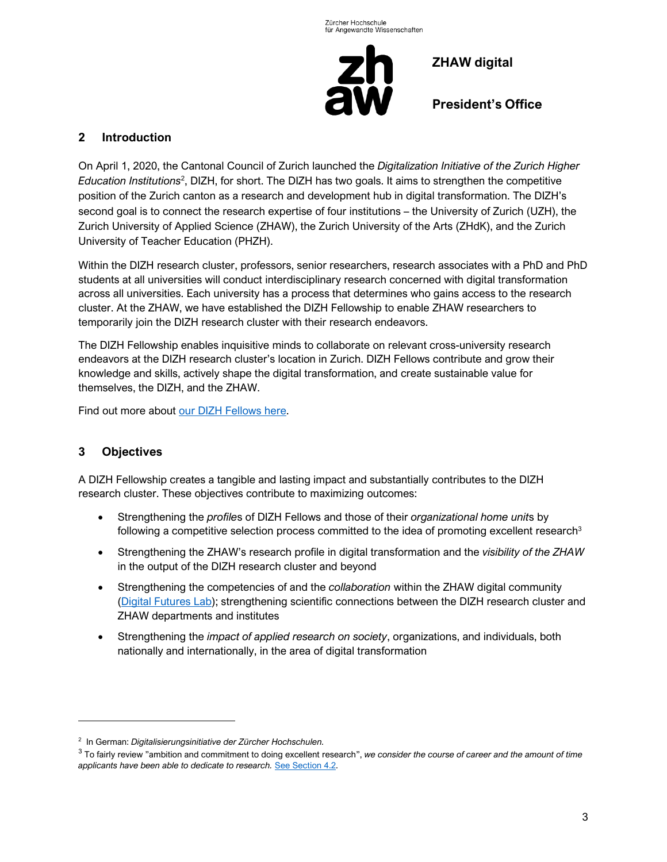

**President's Office**

## <span id="page-2-0"></span>**2 Introduction**

On April 1, 2020, the Cantonal Council of Zurich launched the *Digitalization Initiative of the Zurich Higher*  Education Institutions<sup>2</sup>, DIZH, for short. The DIZH has two goals. It aims to strengthen the competitive position of the Zurich canton as a research and development hub in digital transformation. The DIZH's second goal is to connect the research expertise of four institutions – the University of Zurich (UZH), the Zurich University of Applied Science (ZHAW), the Zurich University of the Arts (ZHdK), and the Zurich University of Teacher Education (PHZH).

Within the DIZH research cluster, professors, senior researchers, research associates with a PhD and PhD students at all universities will conduct interdisciplinary research concerned with digital transformation across all universities. Each university has a process that determines who gains access to the research cluster. At the ZHAW, we have established the DIZH Fellowship to enable ZHAW researchers to temporarily join the DIZH research cluster with their research endeavors.

The DIZH Fellowship enables inquisitive minds to collaborate on relevant cross-university research endeavors at the DIZH research cluster's location in Zurich. DIZH Fellows contribute and grow their knowledge and skills, actively shape the digital transformation, and create sustainable value for themselves, the DIZH, and the ZHAW.

Find out more about [our DIZH Fellows here.](https://www.zhaw.ch/de/fokusthemen/zhaw-digital/dizh-fellows/)

# <span id="page-2-1"></span>**3 Objectives**

A DIZH Fellowship creates a tangible and lasting impact and substantially contributes to the DIZH research cluster. These objectives contribute to maximizing outcomes:

- Strengthening the *profile*s of DIZH Fellows and those of their *organizational home unit*s by following a competitive selection process committed to the idea of promoting excellent research<sup>3</sup>
- Strengthening the ZHAW's research profile in digital transformation and the *visibility of the ZHAW* in the output of the DIZH research cluster and beyond
- Strengthening the competencies of and the *collaboration* within the ZHAW digital community [\(Digital Futures Lab\)](https://www.zhaw.ch/de/ueber-uns/leitbild-und-strategie/strategische-initiative-zhaw-digital/digital-futures-lab/); strengthening scientific connections between the DIZH research cluster and ZHAW departments and institutes
- Strengthening the *impact of applied research on society*, organizations, and individuals, both nationally and internationally, in the area of digital transformation

<sup>2</sup> In German: *Digitalisierungsinitiative der Zürcher Hochschulen.*

<sup>3</sup> To fairly review "ambition and commitment to doing excellent research", *we consider the course of career and the amount of time applicants have been able to dedicate to research.* [See Section](#page-3-2) 4.2.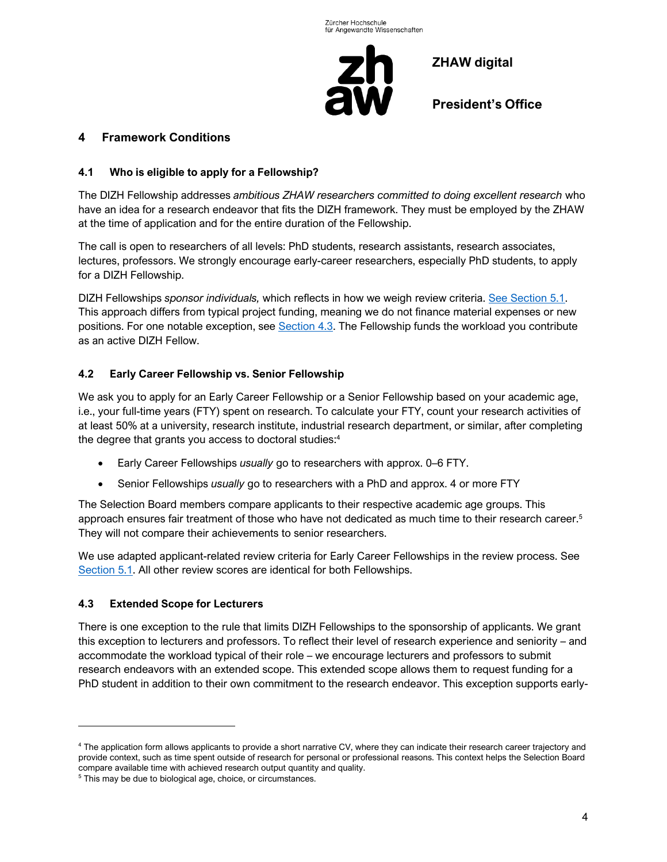

**President's Office**

## <span id="page-3-0"></span>**4 Framework Conditions**

#### <span id="page-3-1"></span>**4.1 Who is eligible to apply for a Fellowship?**

The DIZH Fellowship addresses *ambitious ZHAW researchers committed to doing excellent research* who have an idea for a research endeavor that fits the DIZH framework. They must be employed by the ZHAW at the time of application and for the entire duration of the Fellowship.

The call is open to researchers of all levels: PhD students, research assistants, research associates, lectures, professors. We strongly encourage early-career researchers, especially PhD students, to apply for a DIZH Fellowship.

DIZH Fellowships *sponsor individuals,* which reflects in how we weigh review criteria. [See Section](#page-6-1) 5.1. This approach differs from typical project funding, meaning we do not finance material expenses or new positions. For one notable exception, see [Section](#page-3-3) 4.3. The Fellowship funds the workload you contribute as an active DIZH Fellow.

## <span id="page-3-2"></span>**4.2 Early Career Fellowship vs. Senior Fellowship**

We ask you to apply for an Early Career Fellowship or a Senior Fellowship based on your academic age, i.e., your full-time years (FTY) spent on research. To calculate your FTY, count your research activities of at least 50% at a university, research institute, industrial research department, or similar, after completing the degree that grants you access to doctoral studies: 4

- Early Career Fellowships *usually* go to researchers with approx. 0–6 FTY.
- Senior Fellowships *usually* go to researchers with a PhD and approx. 4 or more FTY

The Selection Board members compare applicants to their respective academic age groups. This approach ensures fair treatment of those who have not dedicated as much time to their research career.<sup>5</sup> They will not compare their achievements to senior researchers.

We use adapted applicant-related review criteria for Early Career Fellowships in the review process. See [Section](#page-6-1) 5.1. All other review scores are identical for both Fellowships.

#### <span id="page-3-3"></span>**4.3 Extended Scope for Lecturers**

There is one exception to the rule that limits DIZH Fellowships to the sponsorship of applicants. We grant this exception to lecturers and professors. To reflect their level of research experience and seniority – and accommodate the workload typical of their role – we encourage lecturers and professors to submit research endeavors with an extended scope. This extended scope allows them to request funding for a PhD student in addition to their own commitment to the research endeavor. This exception supports early-

<sup>4</sup> The application form allows applicants to provide a short narrative CV, where they can indicate their research career trajectory and provide context, such as time spent outside of research for personal or professional reasons. This context helps the Selection Board compare available time with achieved research output quantity and quality.

<sup>&</sup>lt;sup>5</sup> This may be due to biological age, choice, or circumstances.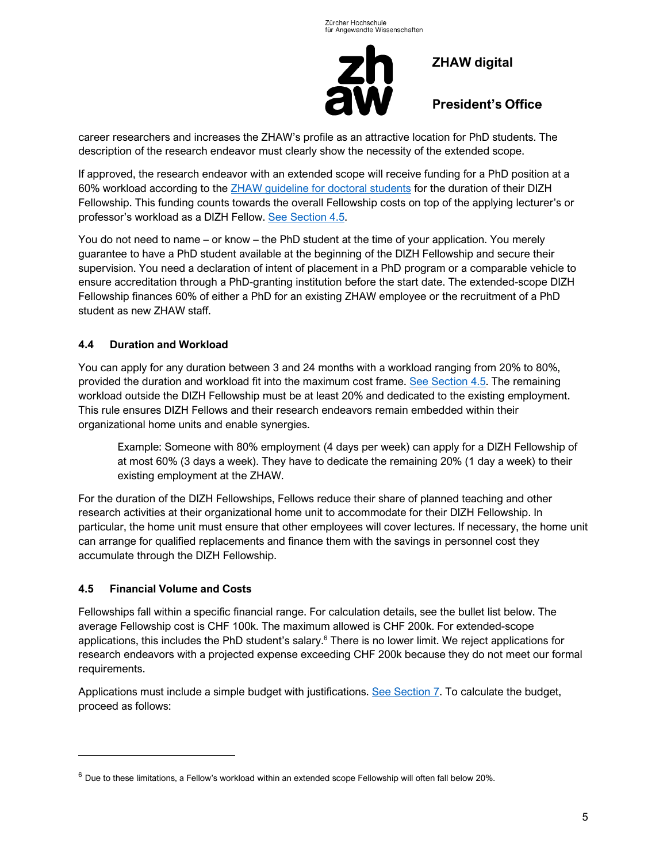

**President's Office**

career researchers and increases the ZHAW's profile as an attractive location for PhD students. The description of the research endeavor must clearly show the necessity of the extended scope.

If approved, the research endeavor with an extended scope will receive funding for a PhD position at a 60% workload according to the [ZHAW guideline for doctoral](https://gpm.zhaw.ch/GPMDoc/GPMDocProdZStaff/6_Services/6_04_Human_Resources_Management/6_04_01_Personal_Gewinnung/Z_RL_Richtlinie_Doktorierende.pdf) students for the duration of their DIZH Fellowship. This funding counts towards the overall Fellowship costs on top of the applying lecturer's or professor's workload as a DIZH Fellow. [See Section](#page-4-1) 4.5.

You do not need to name – or know – the PhD student at the time of your application. You merely guarantee to have a PhD student available at the beginning of the DIZH Fellowship and secure their supervision. You need a declaration of intent of placement in a PhD program or a comparable vehicle to ensure accreditation through a PhD-granting institution before the start date. The extended-scope DIZH Fellowship finances 60% of either a PhD for an existing ZHAW employee or the recruitment of a PhD student as new ZHAW staff.

## <span id="page-4-0"></span>**4.4 Duration and Workload**

You can apply for any duration between 3 and 24 months with a workload ranging from 20% to 80%, provided the duration and workload fit into the maximum cost frame. [See Section](#page-4-1) 4.5. The remaining workload outside the DIZH Fellowship must be at least 20% and dedicated to the existing employment. This rule ensures DIZH Fellows and their research endeavors remain embedded within their organizational home units and enable synergies.

Example: Someone with 80% employment (4 days per week) can apply for a DIZH Fellowship of at most 60% (3 days a week). They have to dedicate the remaining 20% (1 day a week) to their existing employment at the ZHAW.

For the duration of the DIZH Fellowships, Fellows reduce their share of planned teaching and other research activities at their organizational home unit to accommodate for their DIZH Fellowship. In particular, the home unit must ensure that other employees will cover lectures. If necessary, the home unit can arrange for qualified replacements and finance them with the savings in personnel cost they accumulate through the DIZH Fellowship.

## <span id="page-4-1"></span>**4.5 Financial Volume and Costs**

Fellowships fall within a specific financial range. For calculation details, see the bullet list below. The average Fellowship cost is CHF 100k. The maximum allowed is CHF 200k. For extended-scope applications, this includes the PhD student's salary.<sup>6</sup> There is no lower limit. We reject applications for research endeavors with a projected expense exceeding CHF 200k because they do not meet our formal requirements.

Applications must include a simple budget with justifications. [See Section](#page-8-1) 7. To calculate the budget, proceed as follows:

 $6$  Due to these limitations, a Fellow's workload within an extended scope Fellowship will often fall below 20%.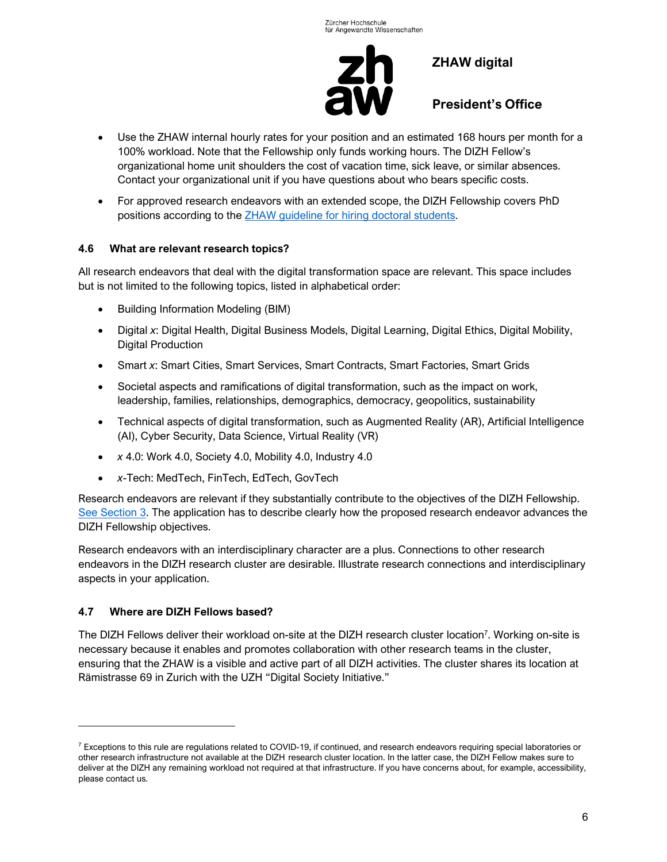

**President's Office**

- Use the ZHAW internal hourly rates for your position and an estimated 168 hours per month for a 100% workload. Note that the Fellowship only funds working hours. The DIZH Fellow's organizational home unit shoulders the cost of vacation time, sick leave, or similar absences. Contact your organizational unit if you have questions about who bears specific costs.
- For approved research endeavors with an extended scope, the DIZH Fellowship covers PhD positions according to the ZHAW guideline [for hiring doctoral students.](https://gpm.zhaw.ch/GPMDoc/GPMDocProdZStaff/6_Services/6_04_Human_Resources_Management/6_04_01_Personal_Gewinnung/Z_RL_Richtlinie_Doktorierende.pdf)

## <span id="page-5-0"></span>**4.6 What are relevant research topics?**

All research endeavors that deal with the digital transformation space are relevant. This space includes but is not limited to the following topics, listed in alphabetical order:

- Building Information Modeling (BIM)
- Digital *x*: Digital Health, Digital Business Models, Digital Learning, Digital Ethics, Digital Mobility, Digital Production
- Smart *x*: Smart Cities, Smart Services, Smart Contracts, Smart Factories, Smart Grids
- Societal aspects and ramifications of digital transformation, such as the impact on work, leadership, families, relationships, demographics, democracy, geopolitics, sustainability
- Technical aspects of digital transformation, such as Augmented Reality (AR), Artificial Intelligence (AI), Cyber Security, Data Science, Virtual Reality (VR)
- *x* 4.0: Work 4.0, Society 4.0, Mobility 4.0, Industry 4.0
- *x*-Tech: MedTech, FinTech, EdTech, GovTech

Research endeavors are relevant if they substantially contribute to the objectives of the DIZH Fellowship. [See Section](#page-2-1) 3. The application has to describe clearly how the proposed research endeavor advances the DIZH Fellowship objectives.

Research endeavors with an interdisciplinary character are a plus. Connections to other research endeavors in the DIZH research cluster are desirable. Illustrate research connections and interdisciplinary aspects in your application.

# <span id="page-5-1"></span>**4.7 Where are DIZH Fellows based?**

The DIZH Fellows deliver their workload on-site at the DIZH research cluster location<sup>7</sup>. Working on-site is necessary because it enables and promotes collaboration with other research teams in the cluster, ensuring that the ZHAW is a visible and active part of all DIZH activities. The cluster shares its location at Rämistrasse 69 in Zurich with the UZH "Digital Society Initiative."

 $7$  Exceptions to this rule are regulations related to COVID-19, if continued, and research endeavors requiring special laboratories or other research infrastructure not available at the DIZH research cluster location. In the latter case, the DIZH Fellow makes sure to deliver at the DIZH any remaining workload not required at that infrastructure. If you have concerns about, for example, accessibility, please contact us.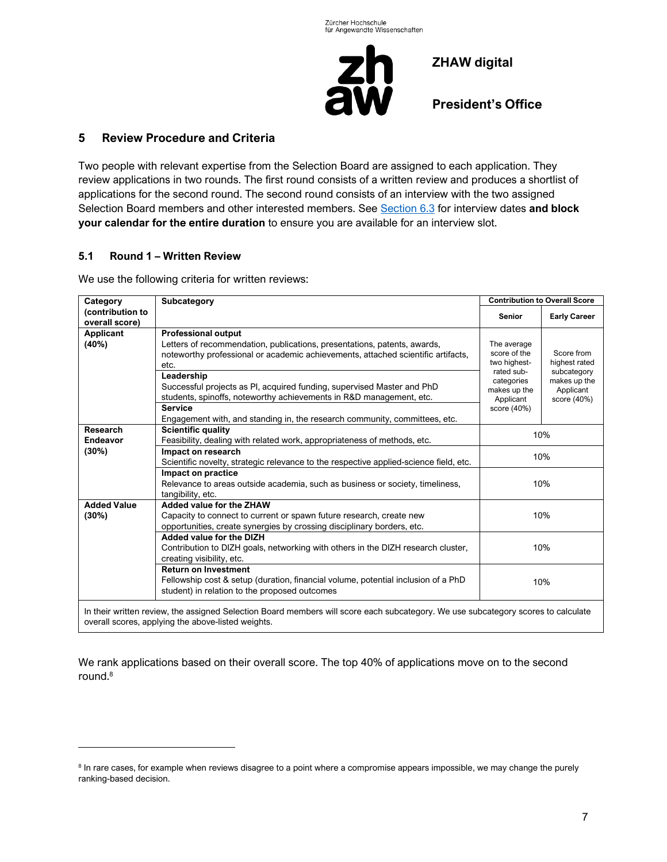

**President's Office**

## <span id="page-6-0"></span>**5 Review Procedure and Criteria**

Two people with relevant expertise from the Selection Board are assigned to each application. They review applications in two rounds. The first round consists of a written review and produces a shortlist of applications for the second round. The second round consists of an interview with the two assigned Selection Board members and other interested members. See [Section](#page-8-0) 6.3 for interview dates **and block your calendar for the entire duration** to ensure you are available for an interview slot.

#### <span id="page-6-1"></span>**5.1 Round 1 – Written Review**

We use the following criteria for written reviews:

| Category                                                                                                                                                                                | Subcategory                                                                                                                                                                                                                                                                                                                                                                                                                                                       | <b>Contribution to Overall Score</b>                                                                                |                                                                                        |  |  |  |  |
|-----------------------------------------------------------------------------------------------------------------------------------------------------------------------------------------|-------------------------------------------------------------------------------------------------------------------------------------------------------------------------------------------------------------------------------------------------------------------------------------------------------------------------------------------------------------------------------------------------------------------------------------------------------------------|---------------------------------------------------------------------------------------------------------------------|----------------------------------------------------------------------------------------|--|--|--|--|
| (contribution to<br>overall score)                                                                                                                                                      |                                                                                                                                                                                                                                                                                                                                                                                                                                                                   | <b>Senior</b>                                                                                                       | <b>Early Career</b>                                                                    |  |  |  |  |
| <b>Applicant</b><br>(40%)                                                                                                                                                               | <b>Professional output</b><br>Letters of recommendation, publications, presentations, patents, awards,<br>noteworthy professional or academic achievements, attached scientific artifacts,<br>etc.<br>Leadership<br>Successful projects as PI, acquired funding, supervised Master and PhD<br>students, spinoffs, noteworthy achievements in R&D management, etc.<br><b>Service</b><br>Engagement with, and standing in, the research community, committees, etc. | The average<br>score of the<br>two highest-<br>rated sub-<br>categories<br>makes up the<br>Applicant<br>score (40%) | Score from<br>highest rated<br>subcategory<br>makes up the<br>Applicant<br>score (40%) |  |  |  |  |
| <b>Research</b><br><b>Endeavor</b>                                                                                                                                                      | <b>Scientific quality</b><br>Feasibility, dealing with related work, appropriateness of methods, etc.                                                                                                                                                                                                                                                                                                                                                             | 10%                                                                                                                 |                                                                                        |  |  |  |  |
| (30%)                                                                                                                                                                                   | Impact on research<br>Scientific novelty, strategic relevance to the respective applied-science field, etc.                                                                                                                                                                                                                                                                                                                                                       | 10%                                                                                                                 |                                                                                        |  |  |  |  |
|                                                                                                                                                                                         | Impact on practice<br>Relevance to areas outside academia, such as business or society, timeliness,<br>tangibility, etc.                                                                                                                                                                                                                                                                                                                                          | 10%                                                                                                                 |                                                                                        |  |  |  |  |
| <b>Added Value</b><br>(30%)                                                                                                                                                             | Added value for the ZHAW<br>Capacity to connect to current or spawn future research, create new<br>opportunities, create synergies by crossing disciplinary borders, etc.                                                                                                                                                                                                                                                                                         | 10%                                                                                                                 |                                                                                        |  |  |  |  |
|                                                                                                                                                                                         | Added value for the DIZH<br>Contribution to DIZH goals, networking with others in the DIZH research cluster,<br>creating visibility, etc.                                                                                                                                                                                                                                                                                                                         | 10%                                                                                                                 |                                                                                        |  |  |  |  |
|                                                                                                                                                                                         | <b>Return on Investment</b><br>Fellowship cost & setup (duration, financial volume, potential inclusion of a PhD<br>student) in relation to the proposed outcomes                                                                                                                                                                                                                                                                                                 | 10%                                                                                                                 |                                                                                        |  |  |  |  |
| In their written review, the assigned Selection Board members will score each subcategory. We use subcategory scores to calculate<br>overall scores, applying the above-listed weights. |                                                                                                                                                                                                                                                                                                                                                                                                                                                                   |                                                                                                                     |                                                                                        |  |  |  |  |

We rank applications based on their overall score. The top 40% of applications move on to the second round.<sup>8</sup>

<sup>&</sup>lt;sup>8</sup> In rare cases, for example when reviews disagree to a point where a compromise appears impossible, we may change the purely ranking-based decision.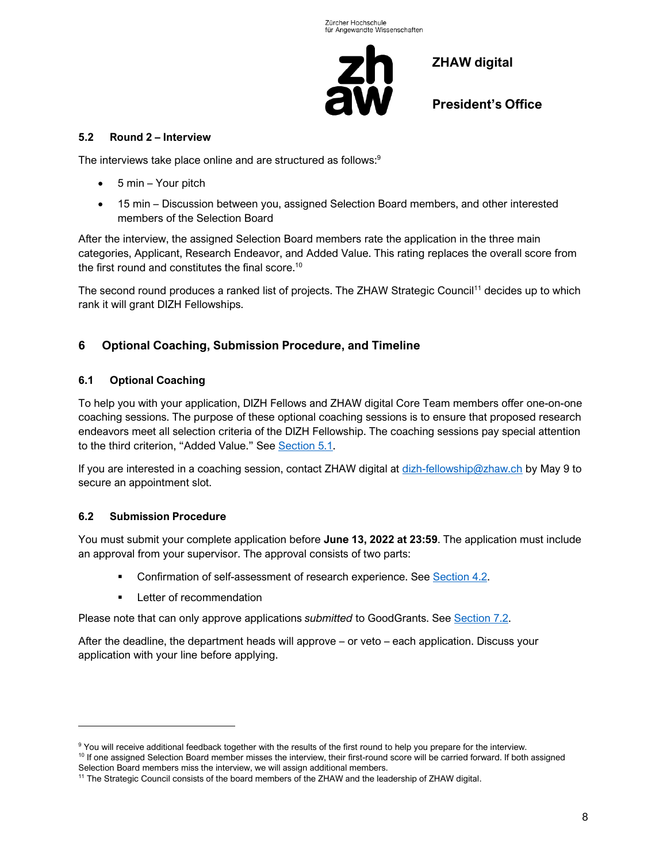

**President's Office**

#### <span id="page-7-0"></span>**5.2 Round 2 – Interview**

The interviews take place online and are structured as follows:<sup>9</sup>

- 5 min Your pitch
- 15 min Discussion between you, assigned Selection Board members, and other interested members of the Selection Board

After the interview, the assigned Selection Board members rate the application in the three main categories, Applicant, Research Endeavor, and Added Value. This rating replaces the overall score from the first round and constitutes the final score.<sup>10</sup>

The second round produces a ranked list of projects. The ZHAW Strategic Council<sup>11</sup> decides up to which rank it will grant DIZH Fellowships.

# <span id="page-7-1"></span>**6 Optional Coaching, Submission Procedure, and Timeline**

## <span id="page-7-2"></span>**6.1 Optional Coaching**

To help you with your application, DIZH Fellows and ZHAW digital Core Team members offer one-on-one coaching sessions. The purpose of these optional coaching sessions is to ensure that proposed research endeavors meet all selection criteria of the DIZH Fellowship. The coaching sessions pay special attention to the third criterion, "Added Value." See [Section](#page-6-1) 5.1.

If you are interested in a coaching session, contact ZHAW digital at [dizh-fellowship@zhaw.ch](mailto:dizh-fellowship@zhaw.ch) by May 9 to secure an appointment slot.

## <span id="page-7-3"></span>**6.2 Submission Procedure**

You must submit your complete application before **June 13, 2022 at 23:59**. The application must include an approval from your supervisor. The approval consists of two parts:

- Confirmation of self-assessment of research experience. See [Section](#page-3-2) 4.2.
- **•** Letter of recommendation

Please note that can only approve applications *submitted* to GoodGrants. See [Section](#page-11-1) 7.2.

After the deadline, the department heads will approve – or veto – each application. Discuss your application with your line before applying.

<sup>&</sup>lt;sup>9</sup> You will receive additional feedback together with the results of the first round to help you prepare for the interview.

<sup>&</sup>lt;sup>10</sup> If one assigned Selection Board member misses the interview, their first-round score will be carried forward. If both assigned Selection Board members miss the interview, we will assign additional members.

<sup>&</sup>lt;sup>11</sup> The Strategic Council consists of the board members of the ZHAW and the leadership of ZHAW digital.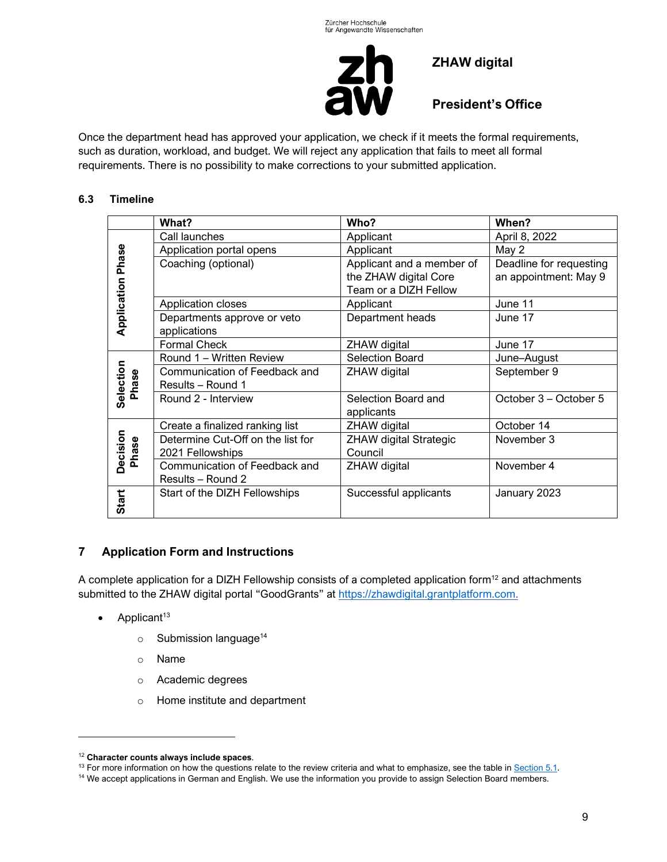

**President's Office**

Once the department head has approved your application, we check if it meets the formal requirements, such as duration, workload, and budget. We will reject any application that fails to meet all formal requirements. There is no possibility to make corrections to your submitted application.

## <span id="page-8-0"></span>**6.3 Timeline**

|                          | What?                             | Who?                          | When?                   |
|--------------------------|-----------------------------------|-------------------------------|-------------------------|
|                          | Call launches                     | Applicant                     | April 8, 2022           |
|                          | Application portal opens          | Applicant                     | May 2                   |
| <b>Application Phase</b> | Coaching (optional)               | Applicant and a member of     | Deadline for requesting |
|                          |                                   | the ZHAW digital Core         | an appointment: May 9   |
|                          |                                   | Team or a DIZH Fellow         |                         |
|                          | Application closes                | Applicant                     | June 11                 |
|                          | Departments approve or veto       | Department heads              | June 17                 |
|                          | applications                      |                               |                         |
|                          | <b>Formal Check</b>               | ZHAW digital                  | June 17                 |
|                          | Round 1 - Written Review          | <b>Selection Board</b>        | June-August             |
|                          | Communication of Feedback and     | ZHAW digital                  | September 9             |
| Phase                    | Results - Round 1                 |                               |                         |
| Selection                | Round 2 - Interview               | Selection Board and           | October 3 – October 5   |
|                          |                                   | applicants                    |                         |
|                          | Create a finalized ranking list   | ZHAW digital                  | October 14              |
| Decision<br>Phase        | Determine Cut-Off on the list for | <b>ZHAW digital Strategic</b> | November 3              |
|                          | 2021 Fellowships                  | Council                       |                         |
|                          | Communication of Feedback and     | ZHAW digital                  | November 4              |
|                          | Results - Round 2                 |                               |                         |
| Start                    | Start of the DIZH Fellowships     | Successful applicants         | January 2023            |
|                          |                                   |                               |                         |

# <span id="page-8-1"></span>**7 Application Form and Instructions**

A complete application for a DIZH Fellowship consists of a completed application form $12$  and attachments submitted to the ZHAW digital portal "GoodGrants" at [https://zhawdigital.grantplatform.com.](https://zhawdigital.grantplatform.com/)

- $\bullet$  Applicant<sup>13</sup>
	- $\circ$  Submission language<sup>14</sup>
	- o Name
	- o Academic degrees
	- o Home institute and department

<sup>12</sup> **Character counts always include spaces**.

 $13$  For more information on how the questions relate to the review criteria and what to emphasize, see the table in [Section](#page-6-1) 5.1.

<sup>&</sup>lt;sup>14</sup> We accept applications in German and English. We use the information you provide to assign Selection Board members.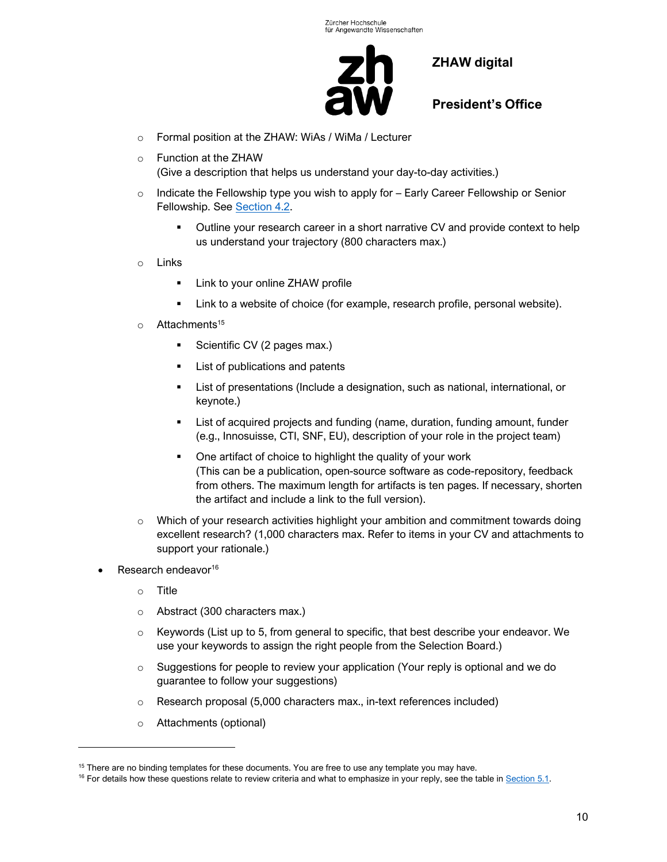

**President's Office**

- o Formal position at the ZHAW: WiAs / WiMa / Lecturer
- o Function at the ZHAW (Give a description that helps us understand your day-to-day activities.)
- $\circ$  Indicate the Fellowship type you wish to apply for Early Career Fellowship or Senior Fellowship. See [Section](#page-3-2) 4.2.
	- **•** Outline your research career in a short narrative CV and provide context to help us understand your trajectory (800 characters max.)
- o Links
	- Link to your online ZHAW profile
	- Link to a website of choice (for example, research profile, personal website).
- $\circ$  Attachments<sup>15</sup>
	- Scientific CV (2 pages max.)
	- List of publications and patents
	- List of presentations (Include a designation, such as national, international, or keynote.)
	- List of acquired projects and funding (name, duration, funding amount, funder (e.g., Innosuisse, CTI, SNF, EU), description of your role in the project team)
	- One artifact of choice to highlight the quality of your work (This can be a publication, open-source software as code-repository, feedback from others. The maximum length for artifacts is ten pages. If necessary, shorten the artifact and include a link to the full version).
- o Which of your research activities highlight your ambition and commitment towards doing excellent research? (1,000 characters max. Refer to items in your CV and attachments to support your rationale.)
- Research endeavor<sup>16</sup>
	- o Title
	- o Abstract (300 characters max.)
	- $\circ$  Keywords (List up to 5, from general to specific, that best describe your endeavor. We use your keywords to assign the right people from the Selection Board.)
	- $\circ$  Suggestions for people to review your application (Your reply is optional and we do guarantee to follow your suggestions)
	- o Research proposal (5,000 characters max., in-text references included)
	- o Attachments (optional)

<sup>&</sup>lt;sup>15</sup> There are no binding templates for these documents. You are free to use any template you may have.

 $16$  For details how these questions relate to review criteria and what to emphasize in your reply, see the table in  $Section 5.1$ .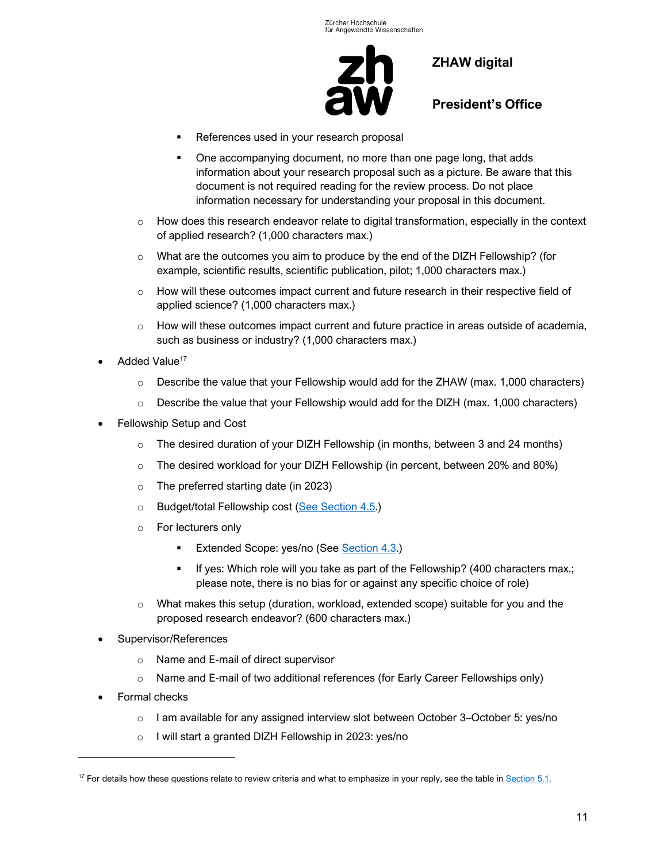

**President's Office**

- References used in your research proposal
- One accompanying document, no more than one page long, that adds information about your research proposal such as a picture. Be aware that this document is not required reading for the review process. Do not place information necessary for understanding your proposal in this document.
- $\circ$  How does this research endeavor relate to digital transformation, especially in the context of applied research? (1,000 characters max.)
- $\circ$  What are the outcomes you aim to produce by the end of the DIZH Fellowship? (for example, scientific results, scientific publication, pilot; 1,000 characters max.)
- $\circ$  How will these outcomes impact current and future research in their respective field of applied science? (1,000 characters max.)
- $\circ$  How will these outcomes impact current and future practice in areas outside of academia, such as business or industry? (1,000 characters max.)
- Added Value<sup>17</sup>
	- $\circ$  Describe the value that your Fellowship would add for the ZHAW (max. 1,000 characters)
	- $\circ$  Describe the value that your Fellowship would add for the DIZH (max. 1,000 characters)
- Fellowship Setup and Cost
	- $\circ$  The desired duration of your DIZH Fellowship (in months, between 3 and 24 months)
	- $\circ$  The desired workload for your DIZH Fellowship (in percent, between 20% and 80%)
	- o The preferred starting date (in 2023)
	- o Budget/total Fellowship cost [\(See Section](#page-4-1) 4.5.)
	- o For lecturers only
		- **Extended Scope: yes/no (See [Section](#page-3-3) 4.3.)**
		- If yes: Which role will you take as part of the Fellowship? (400 characters max.; please note, there is no bias for or against any specific choice of role)
	- $\circ$  What makes this setup (duration, workload, extended scope) suitable for you and the proposed research endeavor? (600 characters max.)
- Supervisor/References
	- o Name and E-mail of direct supervisor
	- $\circ$  Name and E-mail of two additional references (for Early Career Fellowships only)
- Formal checks
	- $\circ$  I am available for any assigned interview slot between October 3–October 5: yes/no
	- o I will start a granted DIZH Fellowship in 2023: yes/no

 $17$  For details how these questions relate to review criteria and what to emphasize in your reply, see the table in  $Section 5.1$ .</u>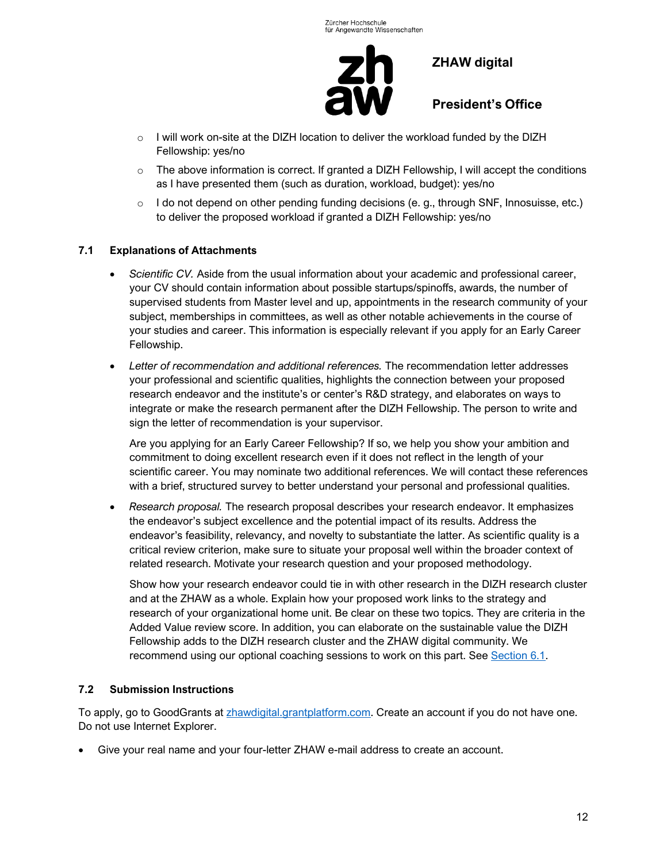

**President's Office**

- $\circ$  I will work on-site at the DIZH location to deliver the workload funded by the DIZH Fellowship: yes/no
- $\circ$  The above information is correct. If granted a DIZH Fellowship, I will accept the conditions as I have presented them (such as duration, workload, budget): yes/no
- o I do not depend on other pending funding decisions (e. g., through SNF, Innosuisse, etc.) to deliver the proposed workload if granted a DIZH Fellowship: yes/no

#### <span id="page-11-0"></span>**7.1 Explanations of Attachments**

- *Scientific CV.* Aside from the usual information about your academic and professional career, your CV should contain information about possible startups/spinoffs, awards, the number of supervised students from Master level and up, appointments in the research community of your subject, memberships in committees, as well as other notable achievements in the course of your studies and career. This information is especially relevant if you apply for an Early Career Fellowship.
- *Letter of recommendation and additional references.* The recommendation letter addresses your professional and scientific qualities, highlights the connection between your proposed research endeavor and the institute's or center's R&D strategy, and elaborates on ways to integrate or make the research permanent after the DIZH Fellowship. The person to write and sign the letter of recommendation is your supervisor.

Are you applying for an Early Career Fellowship? If so, we help you show your ambition and commitment to doing excellent research even if it does not reflect in the length of your scientific career. You may nominate two additional references. We will contact these references with a brief, structured survey to better understand your personal and professional qualities.

• *Research proposal.* The research proposal describes your research endeavor. It emphasizes the endeavor's subject excellence and the potential impact of its results. Address the endeavor's feasibility, relevancy, and novelty to substantiate the latter. As scientific quality is a critical review criterion, make sure to situate your proposal well within the broader context of related research. Motivate your research question and your proposed methodology.

Show how your research endeavor could tie in with other research in the DIZH research cluster and at the ZHAW as a whole. Explain how your proposed work links to the strategy and research of your organizational home unit. Be clear on these two topics. They are criteria in the Added Value review score. In addition, you can elaborate on the sustainable value the DIZH Fellowship adds to the DIZH research cluster and the ZHAW digital community. We recommend using our optional coaching sessions to work on this part. See [Section](#page-7-2) 6.1.

## <span id="page-11-1"></span>**7.2 Submission Instructions**

To apply, go to GoodGrants at **zhawdigital.grantplatform.com.** Create an account if you do not have one. Do not use Internet Explorer.

• Give your real name and your four-letter ZHAW e-mail address to create an account.